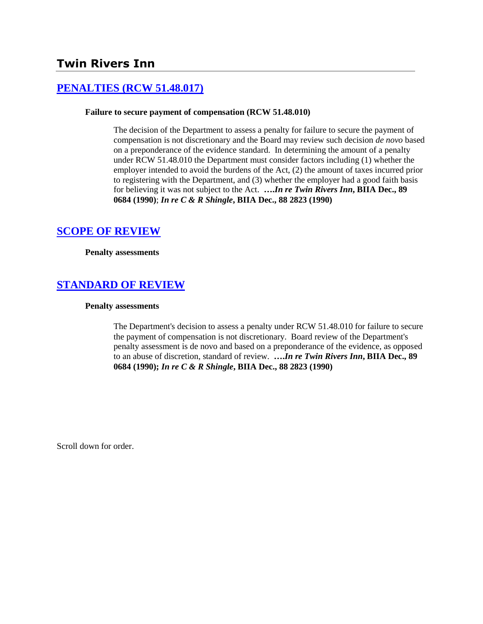# **Twin Rivers Inn**

# **[PENALTIES \(RCW 51.48.017\)](http://www.biia.wa.gov/SDSubjectIndex.html#PENALTIES)**

#### **Failure to secure payment of compensation (RCW 51.48.010)**

The decision of the Department to assess a penalty for failure to secure the payment of compensation is not discretionary and the Board may review such decision *de novo* based on a preponderance of the evidence standard. In determining the amount of a penalty under RCW 51.48.010 the Department must consider factors including (1) whether the employer intended to avoid the burdens of the Act, (2) the amount of taxes incurred prior to registering with the Department, and (3) whether the employer had a good faith basis for believing it was not subject to the Act. **….***In re Twin Rivers Inn***, BIIA Dec., 89 0684 (1990)**; *In re C & R Shingle***, BIIA Dec., 88 2823 (1990)**

#### **[SCOPE OF REVIEW](http://www.biia.wa.gov/SDSubjectIndex.html#SCOPE_OF_REVIEW)**

**Penalty assessments**

## **[STANDARD OF REVIEW](http://www.biia.wa.gov/SDSubjectIndex.html#STANDARD_OF_REVIEW)**

#### **Penalty assessments**

The Department's decision to assess a penalty under RCW 51.48.010 for failure to secure the payment of compensation is not discretionary. Board review of the Department's penalty assessment is de novo and based on a preponderance of the evidence, as opposed to an abuse of discretion, standard of review. **….***In re Twin Rivers Inn***, BIIA Dec., 89 0684 (1990);** *In re C & R Shingle***, BIIA Dec., 88 2823 (1990)**

Scroll down for order.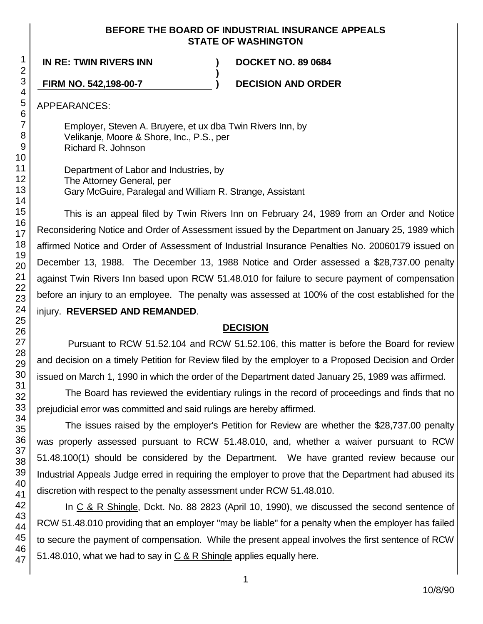#### **BEFORE THE BOARD OF INDUSTRIAL INSURANCE APPEALS STATE OF WASHINGTON**

**)**

**IN RE: TWIN RIVERS INN ) DOCKET NO. 89 0684**

**FIRM NO. 542,198-00-7 ) DECISION AND ORDER**

APPEARANCES:

Employer, Steven A. Bruyere, et ux dba Twin Rivers Inn, by Velikanje, Moore & Shore, Inc., P.S., per Richard R. Johnson

Department of Labor and Industries, by The Attorney General, per Gary McGuire, Paralegal and William R. Strange, Assistant

This is an appeal filed by Twin Rivers Inn on February 24, 1989 from an Order and Notice Reconsidering Notice and Order of Assessment issued by the Department on January 25, 1989 which affirmed Notice and Order of Assessment of Industrial Insurance Penalties No. 20060179 issued on December 13, 1988. The December 13, 1988 Notice and Order assessed a \$28,737.00 penalty against Twin Rivers Inn based upon RCW 51.48.010 for failure to secure payment of compensation before an injury to an employee. The penalty was assessed at 100% of the cost established for the injury. **REVERSED AND REMANDED**.

# **DECISION**

Pursuant to RCW 51.52.104 and RCW 51.52.106, this matter is before the Board for review and decision on a timely Petition for Review filed by the employer to a Proposed Decision and Order issued on March 1, 1990 in which the order of the Department dated January 25, 1989 was affirmed.

The Board has reviewed the evidentiary rulings in the record of proceedings and finds that no prejudicial error was committed and said rulings are hereby affirmed.

The issues raised by the employer's Petition for Review are whether the \$28,737.00 penalty was properly assessed pursuant to RCW 51.48.010, and, whether a waiver pursuant to RCW 51.48.100(1) should be considered by the Department. We have granted review because our Industrial Appeals Judge erred in requiring the employer to prove that the Department had abused its discretion with respect to the penalty assessment under RCW 51.48.010.

In C & R Shingle, Dckt. No. 88 2823 (April 10, 1990), we discussed the second sentence of RCW 51.48.010 providing that an employer "may be liable" for a penalty when the employer has failed to secure the payment of compensation. While the present appeal involves the first sentence of RCW 51.48.010, what we had to say in C & R Shingle applies equally here.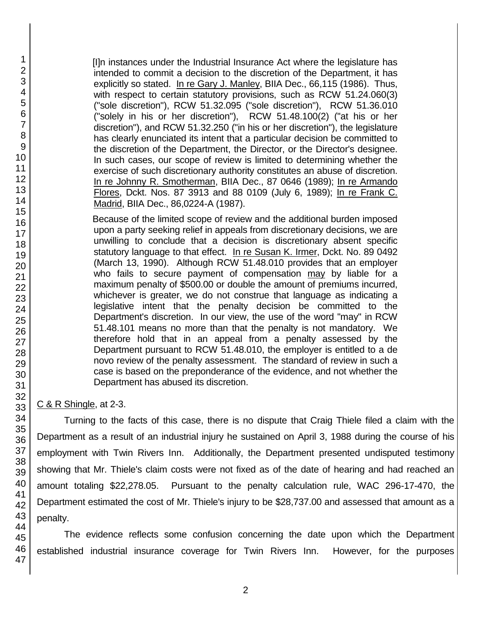[I]n instances under the Industrial Insurance Act where the legislature has intended to commit a decision to the discretion of the Department, it has explicitly so stated. In re Gary J. Manley, BIIA Dec., 66,115 (1986). Thus, with respect to certain statutory provisions, such as RCW 51.24.060(3) ("sole discretion"), RCW 51.32.095 ("sole discretion"), RCW 51.36.010 ("solely in his or her discretion"), RCW 51.48.100(2) ("at his or her discretion"), and RCW 51.32.250 ("in his or her discretion"), the legislature has clearly enunciated its intent that a particular decision be committed to the discretion of the Department, the Director, or the Director's designee. In such cases, our scope of review is limited to determining whether the exercise of such discretionary authority constitutes an abuse of discretion. In re Johnny R. Smotherman, BIIA Dec., 87 0646 (1989); In re Armando Flores, Dckt. Nos. 87 3913 and 88 0109 (July 6, 1989); In re Frank C. Madrid, BIIA Dec., 86,0224-A (1987).

Because of the limited scope of review and the additional burden imposed upon a party seeking relief in appeals from discretionary decisions, we are unwilling to conclude that a decision is discretionary absent specific statutory language to that effect. In re Susan K. Irmer, Dckt. No. 89 0492 (March 13, 1990). Although RCW 51.48.010 provides that an employer who fails to secure payment of compensation may by liable for a maximum penalty of \$500.00 or double the amount of premiums incurred, whichever is greater, we do not construe that language as indicating a legislative intent that the penalty decision be committed to the Department's discretion. In our view, the use of the word "may" in RCW 51.48.101 means no more than that the penalty is not mandatory. We therefore hold that in an appeal from a penalty assessed by the Department pursuant to RCW 51.48.010, the employer is entitled to a de novo review of the penalty assessment. The standard of review in such a case is based on the preponderance of the evidence, and not whether the Department has abused its discretion.

C & R Shingle, at 2-3.

Turning to the facts of this case, there is no dispute that Craig Thiele filed a claim with the Department as a result of an industrial injury he sustained on April 3, 1988 during the course of his employment with Twin Rivers Inn. Additionally, the Department presented undisputed testimony showing that Mr. Thiele's claim costs were not fixed as of the date of hearing and had reached an amount totaling \$22,278.05. Pursuant to the penalty calculation rule, WAC 296-17-470, the Department estimated the cost of Mr. Thiele's injury to be \$28,737.00 and assessed that amount as a penalty.

The evidence reflects some confusion concerning the date upon which the Department established industrial insurance coverage for Twin Rivers Inn. However, for the purposes

47

1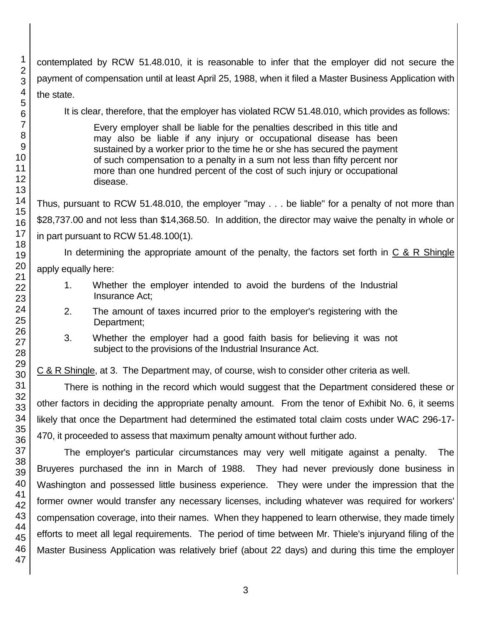contemplated by RCW 51.48.010, it is reasonable to infer that the employer did not secure the payment of compensation until at least April 25, 1988, when it filed a Master Business Application with the state.

It is clear, therefore, that the employer has violated RCW 51.48.010, which provides as follows:

Every employer shall be liable for the penalties described in this title and may also be liable if any injury or occupational disease has been sustained by a worker prior to the time he or she has secured the payment of such compensation to a penalty in a sum not less than fifty percent nor more than one hundred percent of the cost of such injury or occupational disease.

Thus, pursuant to RCW 51.48.010, the employer "may . . . be liable" for a penalty of not more than \$28,737.00 and not less than \$14,368.50. In addition, the director may waive the penalty in whole or in part pursuant to RCW 51.48.100(1).

In determining the appropriate amount of the penalty, the factors set forth in  $C & R$  Shingle apply equally here:

- 1. Whether the employer intended to avoid the burdens of the Industrial Insurance Act;
- 2. The amount of taxes incurred prior to the employer's registering with the Department;
- 3. Whether the employer had a good faith basis for believing it was not subject to the provisions of the Industrial Insurance Act.

C & R Shingle, at 3. The Department may, of course, wish to consider other criteria as well.

There is nothing in the record which would suggest that the Department considered these or other factors in deciding the appropriate penalty amount. From the tenor of Exhibit No. 6, it seems likely that once the Department had determined the estimated total claim costs under WAC 296-17- 470, it proceeded to assess that maximum penalty amount without further ado.

The employer's particular circumstances may very well mitigate against a penalty. The Bruyeres purchased the inn in March of 1988. They had never previously done business in Washington and possessed little business experience. They were under the impression that the former owner would transfer any necessary licenses, including whatever was required for workers' compensation coverage, into their names. When they happened to learn otherwise, they made timely efforts to meet all legal requirements. The period of time between Mr. Thiele's injuryand filing of the Master Business Application was relatively brief (about 22 days) and during this time the employer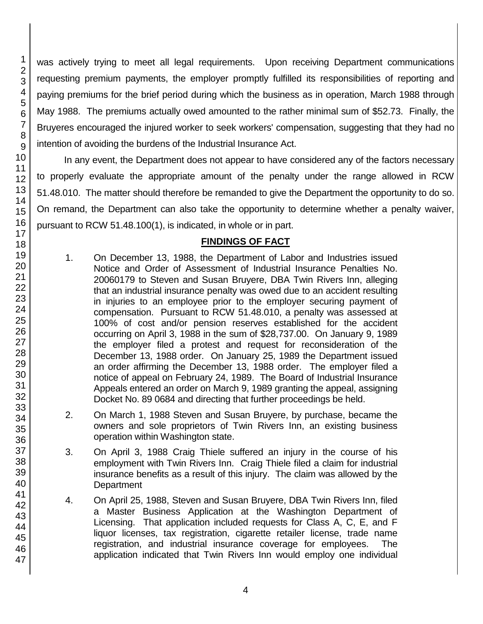was actively trying to meet all legal requirements. Upon receiving Department communications requesting premium payments, the employer promptly fulfilled its responsibilities of reporting and paying premiums for the brief period during which the business as in operation, March 1988 through May 1988. The premiums actually owed amounted to the rather minimal sum of \$52.73. Finally, the Bruyeres encouraged the injured worker to seek workers' compensation, suggesting that they had no intention of avoiding the burdens of the Industrial Insurance Act.

In any event, the Department does not appear to have considered any of the factors necessary to properly evaluate the appropriate amount of the penalty under the range allowed in RCW 51.48.010. The matter should therefore be remanded to give the Department the opportunity to do so. On remand, the Department can also take the opportunity to determine whether a penalty waiver, pursuant to RCW 51.48.100(1), is indicated, in whole or in part.

## **FINDINGS OF FACT**

- 1. On December 13, 1988, the Department of Labor and Industries issued Notice and Order of Assessment of Industrial Insurance Penalties No. 20060179 to Steven and Susan Bruyere, DBA Twin Rivers Inn, alleging that an industrial insurance penalty was owed due to an accident resulting in injuries to an employee prior to the employer securing payment of compensation. Pursuant to RCW 51.48.010, a penalty was assessed at 100% of cost and/or pension reserves established for the accident occurring on April 3, 1988 in the sum of \$28,737.00. On January 9, 1989 the employer filed a protest and request for reconsideration of the December 13, 1988 order. On January 25, 1989 the Department issued an order affirming the December 13, 1988 order. The employer filed a notice of appeal on February 24, 1989. The Board of Industrial Insurance Appeals entered an order on March 9, 1989 granting the appeal, assigning Docket No. 89 0684 and directing that further proceedings be held.
- 2. On March 1, 1988 Steven and Susan Bruyere, by purchase, became the owners and sole proprietors of Twin Rivers Inn, an existing business operation within Washington state.
- 3. On April 3, 1988 Craig Thiele suffered an injury in the course of his employment with Twin Rivers Inn. Craig Thiele filed a claim for industrial insurance benefits as a result of this injury. The claim was allowed by the **Department**
- 4. On April 25, 1988, Steven and Susan Bruyere, DBA Twin Rivers Inn, filed a Master Business Application at the Washington Department of Licensing. That application included requests for Class A, C, E, and F liquor licenses, tax registration, cigarette retailer license, trade name registration, and industrial insurance coverage for employees. The application indicated that Twin Rivers Inn would employ one individual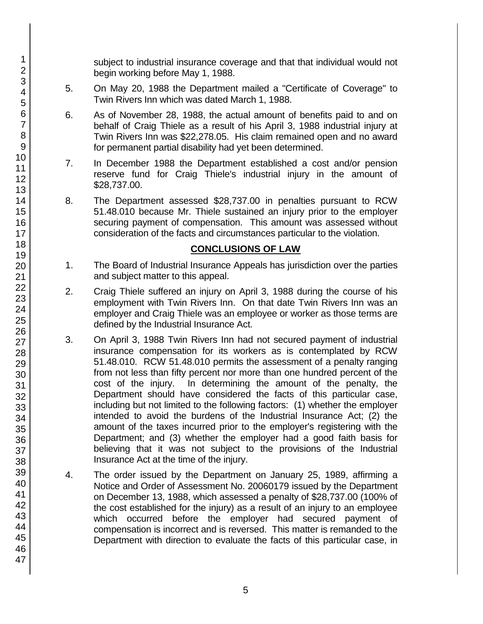subject to industrial insurance coverage and that that individual would not begin working before May 1, 1988.

- 5. On May 20, 1988 the Department mailed a "Certificate of Coverage" to Twin Rivers Inn which was dated March 1, 1988.
- 6. As of November 28, 1988, the actual amount of benefits paid to and on behalf of Craig Thiele as a result of his April 3, 1988 industrial injury at Twin Rivers Inn was \$22,278.05. His claim remained open and no award for permanent partial disability had yet been determined.
- 7. In December 1988 the Department established a cost and/or pension reserve fund for Craig Thiele's industrial injury in the amount of \$28,737.00.
- 8. The Department assessed \$28,737.00 in penalties pursuant to RCW 51.48.010 because Mr. Thiele sustained an injury prior to the employer securing payment of compensation. This amount was assessed without consideration of the facts and circumstances particular to the violation.

## **CONCLUSIONS OF LAW**

- 1. The Board of Industrial Insurance Appeals has jurisdiction over the parties and subject matter to this appeal.
- 2. Craig Thiele suffered an injury on April 3, 1988 during the course of his employment with Twin Rivers Inn. On that date Twin Rivers Inn was an employer and Craig Thiele was an employee or worker as those terms are defined by the Industrial Insurance Act.
- 3. On April 3, 1988 Twin Rivers Inn had not secured payment of industrial insurance compensation for its workers as is contemplated by RCW 51.48.010. RCW 51.48.010 permits the assessment of a penalty ranging from not less than fifty percent nor more than one hundred percent of the cost of the injury. In determining the amount of the penalty, the Department should have considered the facts of this particular case, including but not limited to the following factors: (1) whether the employer intended to avoid the burdens of the Industrial Insurance Act; (2) the amount of the taxes incurred prior to the employer's registering with the Department; and (3) whether the employer had a good faith basis for believing that it was not subject to the provisions of the Industrial Insurance Act at the time of the injury.
- 4. The order issued by the Department on January 25, 1989, affirming a Notice and Order of Assessment No. 20060179 issued by the Department on December 13, 1988, which assessed a penalty of \$28,737.00 (100% of the cost established for the injury) as a result of an injury to an employee which occurred before the employer had secured payment of compensation is incorrect and is reversed. This matter is remanded to the Department with direction to evaluate the facts of this particular case, in